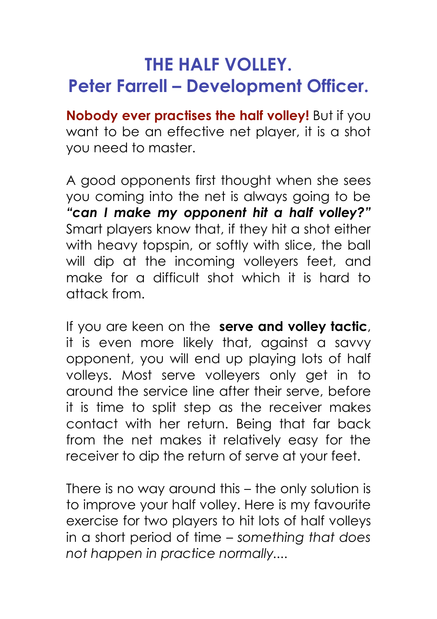## **THE HALF VOLLEY. Peter Farrell – Development Officer.**

**Nobody ever practises the half volley!** But if you want to be an effective net player, it is a shot you need to master.

A good opponents first thought when she sees you coming into the net is always going to be *"can I make my opponent hit a half volley?"* Smart players know that, if they hit a shot either with heavy topspin, or softly with slice, the ball will dip at the incoming volleyers feet, and make for a difficult shot which it is hard to attack from.

If you are keen on the **serve and volley tactic**, it is even more likely that, against a savvy opponent, you will end up playing lots of half volleys. Most serve volleyers only get in to around the service line after their serve, before it is time to split step as the receiver makes contact with her return. Being that far back from the net makes it relatively easy for the receiver to dip the return of serve at your feet.

There is no way around this – the only solution is to improve your half volley. Here is my favourite exercise for two players to hit lots of half volleys in a short period of time – *something that does not happen in practice normally....*